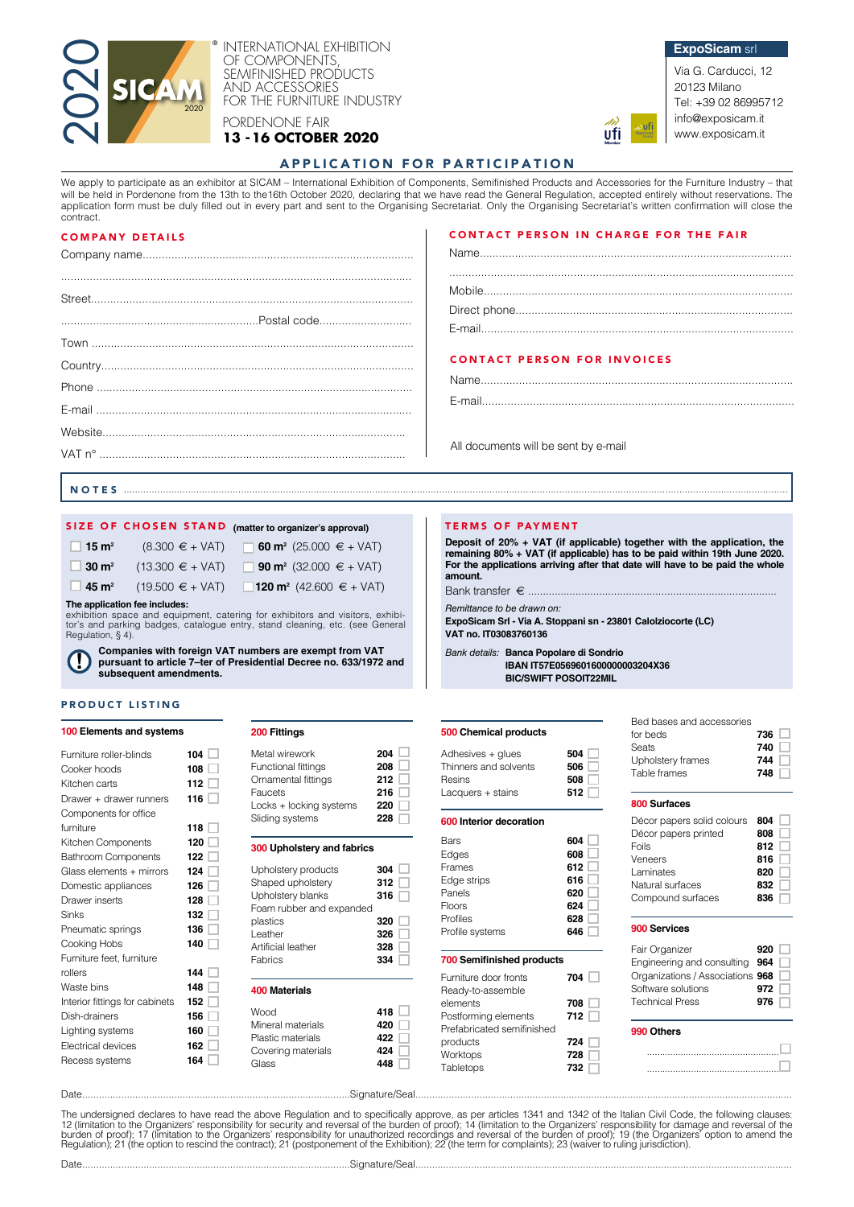

INTERNATIONAL EXHIBITION OF COMPONENTS SEMIFINISHED PRODUCTS AND ACCESSORIES FOR THE FURNITURE INDUSTRY

PORDENONE FAIR

**13 -16 OCTOBER 2020**





20123 Milano Tel: +39 02 86995712 info@exposicam.it www.exposicam.it

# APPLICATION FOR PARTICIPATION

We apply to participate as an exhibitor at SICAM – International Exhibition of Components, Semifinished Products and Accessories for the Furniture Industry – that We apply to participate as an exhibitor at Showman microlational Exhibitor S. Sumpersity, Summary and Regulation, accepted entirely without reservations. The will place the William Schedule Regulation, accepted entirely wi application form must be duly filled out in every part and sent to the Organising Secretariat. Only the Organising Secretariat's written confirmation will close the contract.

# COMPANY DETAILS

Street.....................................................................................................

Country..................................................................................................

E-mail ...................................................................................................

Town **The Little Structure Contract Contract Contract Contract Contract Contract Contract Contract Contract Contract Contract Contract Contract Contract Contract Contract Contract Contract Contract Contract Contract Contra** 

Phone ...................................................................................................

Website............................................................................................... VAT n° ................................................................................................

# CONTACT PERSON IN CHARGE FOR THE FAIR

**ufi** 

**Deposit of 20% + VAT (if applicable) together with the application, the remaining 80% + VAT (if applicable) has to be paid within 19th June 2020. For the applications arriving after that date will have to be paid the whole** 

**ExpoSicam Srl - Via A. Stoppani sn - 23801 Calolziocorte (LC)**

**IBAN IT57E0569601600000003204X36**

Ξ

# CONTACT PERSON FOR INVOICES

Name..................................................................................................

E-mail..................................................................................................

**amount.**

All documents will be sent by e-mail

TERMS OF PAYMENT

Bank transfer  $\epsilon$  ............ *Remittance to be drawn on:*

**VAT no. IT03083760136**

**500 Chemical products** 

Adhesives + glues **504** Thinners and solvents **506** Resins **508** Lacquers + stains **512** 

*Bank details:* **Banca Popolare di Sondrio** 

**NOTES** ....................

# SIZE OF CHOSEN STAND (matter to organizer's approval)

Company name.....................................................................................

..............................................................Postal code.............................

..............................................................................................................

| $\Box$ 15 m <sup>2</sup>                                                                                     | $(8.300 \in + \text{VAT})$                    | <b>60 m<sup>2</sup></b> (25.000 $\epsilon$ + VAT) |
|--------------------------------------------------------------------------------------------------------------|-----------------------------------------------|---------------------------------------------------|
| $\Box$ 30 m <sup>2</sup>                                                                                     | $(13.300 \in + \text{VAT})$                   | <b>90 m<sup>2</sup></b> (32.000 € + VAT)          |
|                                                                                                              | $\Box$ 45 m <sup>2</sup> (19.500 $\in$ + VAT) | 120 m <sup>2</sup> (42.600 $\in$ + VAT)           |
| The application fee includes:<br>oubibition annon and caujumant, octoring for oubibitors and violtare, oubit |                                               |                                                   |

exhibition space and equipment, catering for exhibitors and visitors, exhit tor's and parking badges, catalogue entry, stand cleaning, etc. (see General Regulation, § 4).

**Companies with foreign VAT numbers are exempt from VAT pursuant to article 7–ter of Presidential Decree no. 633/1972 and subsequent amendments. !**

# PRODUCT LISTING

# **100 Elements and systems**

| Furniture roller-blinds        | 104 |
|--------------------------------|-----|
| Cooker hoods                   | 108 |
| Kitchen carts                  | 112 |
| Drawer + drawer runners        | 116 |
| Components for office          |     |
| furniture                      | 118 |
| Kitchen Components             | 120 |
| <b>Bathroom Components</b>     | 122 |
| Glass elements + mirrors       | 124 |
| Domestic appliances            | 126 |
| Drawer inserts                 | 128 |
| Sinks                          | 132 |
| Pneumatic springs              | 136 |
| Cooking Hobs                   | 140 |
| Furniture feet, furniture      |     |
| rollers                        | 144 |
| Waste bins                     | 148 |
| Interior fittings for cabinets | 152 |
| Dish-drainers                  | 156 |
| Lighting systems               | 160 |
| <b>Electrical devices</b>      | 162 |
| Recess systems                 | 164 |
|                                |     |

| Metal wirework             | 204 |
|----------------------------|-----|
| <b>Functional fittings</b> | 208 |
| Ornamental fittings        | 212 |
| Faucets                    | 216 |
| Locks + locking systems    | 220 |
| Sliding systems            | 228 |
|                            |     |

# **300 Upholstery and fabrics**

| Upholstery products<br>Shaped upholstery<br>Upholstery blanks<br>Foam rubber and expanded<br>plastics<br>Leather<br>Artificial leather<br>Fabrics | 304<br>312<br>316<br>320<br>326<br>328<br>334 |
|---------------------------------------------------------------------------------------------------------------------------------------------------|-----------------------------------------------|
| 400 Materials<br>Wood<br>Mineral materials<br>Plastic materials                                                                                   | 418<br>420<br>422                             |

Covering materials **424** Glass **448** 

# **600 Interior decoration**  Bars **604 604 604 608** Edges **608 Frames** Edge strips **616**  Panels **620** Floors **624 Profiles** Profile systems **646 700 Semifinished products**  Furniture door fronts **704** Ready-to-assemble elements **708**  Postforming elements **712**  Prefabricated semifinished products **724**  Worktops **728**

Tabletops **732** 

# **BIC/SWIFT POSOIT22MIL**  Bed bases and accessories for beds **736**

| Seats             | 740 |
|-------------------|-----|
| Upholstery frames | 744 |
| Table frames      | 748 |
|                   |     |

## **800 Surfaces**

| Décor papers solid colours | 804 |
|----------------------------|-----|
| Décor papers printed       | 808 |
| Foils                      | 812 |
| Veneers                    | 816 |
| Laminates                  | 820 |
| Natural surfaces           | 832 |
| Compound surfaces          | 836 |

# **900 Services**

| Fair Organizer                   | 920 |  |
|----------------------------------|-----|--|
| Engineering and consulting 964   |     |  |
| Organizations / Associations 968 |     |  |
| Software solutions               | 972 |  |
| <b>Technical Press</b>           | 976 |  |
|                                  |     |  |

# **990 Others**

................................................... ...................................................

Date................................................................................................Signature/Seal.......................................................................................................................................

The undersigned declares to have read the above Regulation and to specifically approve, as per articles 1341 and 1342 of the Italian Civil Code, the following clauses:<br>12 (limitation to the Organizers' responsibility for s

Date................................................................................................Signature/Seal.......................................................................................................................................

П